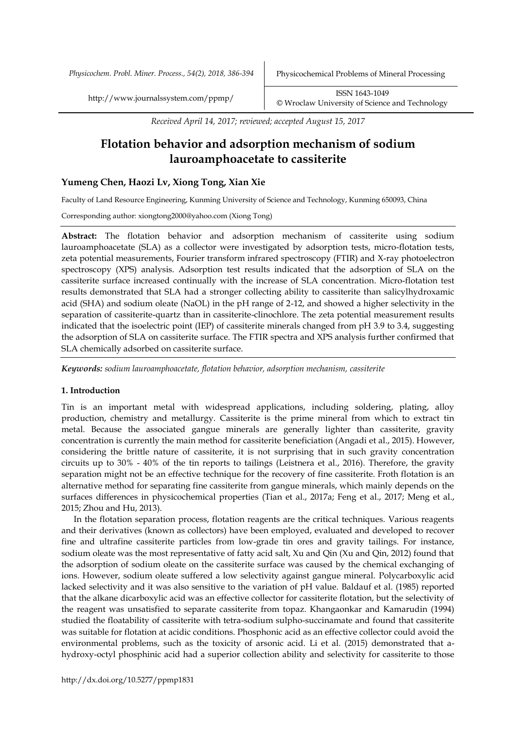*Physicochem. Probl. Miner. Process., 54(2), 2018, 386-394* Physicochemical Problems of Mineral Processing

http://www.journalssystem.com/ppmp/ ISSN 1643-1049 [©](http://www.minproc.pwr.wroc.pl/journal/) Wroclaw University of Science and Technology

*Received April 14, 2017; reviewed; accepted August 15, 2017*

# **Flotation behavior and adsorption mechanism of sodium lauroamphoacetate to cassiterite**

# **Yumeng Chen, Haozi Lv, Xiong Tong, Xian Xie**

Faculty of Land Resource Engineering, Kunming University of Science and Technology, Kunming 650093, China

Corresponding author: xiongtong2000@yahoo.com (Xiong Tong)

**Abstract:** The flotation behavior and adsorption mechanism of cassiterite using sodium lauroamphoacetate (SLA) as a collector were investigated by adsorption tests, micro-flotation tests, zeta potential measurements, Fourier transform infrared spectroscopy (FTIR) and X-ray photoelectron spectroscopy (XPS) analysis. Adsorption test results indicated that the adsorption of SLA on the cassiterite surface increased continually with the increase of SLA concentration. Micro-flotation test results demonstrated that SLA had a stronger collecting ability to cassiterite than salicylhydroxamic acid (SHA) and sodium oleate (NaOL) in the pH range of 2-12, and showed a higher selectivity in the separation of cassiterite-quartz than in cassiterite-clinochlore. The zeta potential measurement results indicated that the isoelectric point (IEP) of cassiterite minerals changed from pH 3.9 to 3.4, suggesting the adsorption of SLA on cassiterite surface. The FTIR spectra and XPS analysis further confirmed that SLA chemically adsorbed on cassiterite surface.

*Keywords: sodium lauroamphoacetate, flotation behavior, adsorption mechanism, cassiterite*

## **1. Introduction**

Tin is an important metal with widespread applications, including soldering, plating, alloy production, chemistry and metallurgy. Cassiterite is the prime mineral from which to extract tin metal. Because the associated gangue minerals are generally lighter than cassiterite, gravity concentration is currently the main method for cassiterite beneficiation (Angadi et al., 2015). However, considering the brittle nature of cassiterite, it is not surprising that in such gravity concentration circuits up to 30% - 40% of the tin reports to tailings (Leistnera et al., 2016). Therefore, the gravity separation might not be an effective technique for the recovery of fine cassiterite. Froth flotation is an alternative method for separating fine cassiterite from gangue minerals, which mainly depends on the surfaces differences in physicochemical properties (Tian et al., 2017a; Feng et al., 2017; Meng et al., 2015; Zhou and Hu, 2013).

In the flotation separation process, flotation reagents are the critical techniques. Various reagents and their derivatives (known as collectors) have been employed, evaluated and developed to recover fine and ultrafine cassiterite particles from low-grade tin ores and gravity tailings. For instance, sodium oleate was the most representative of fatty acid salt, Xu and Qin (Xu and Qin, 2012) found that the adsorption of sodium oleate on the cassiterite surface was caused by the chemical exchanging of ions. However, sodium oleate suffered a low selectivity against gangue mineral. Polycarboxylic acid lacked selectivity and it was also sensitive to the variation of pH value. Baldauf et al. (1985) reported that the alkane dicarboxylic acid was an effective collector for cassiterite flotation, but the selectivity of the reagent was unsatisfied to separate cassiterite from topaz. Khangaonkar and Kamarudin (1994) studied the floatability of cassiterite with tetra-sodium sulpho-succinamate and found that cassiterite was suitable for flotation at acidic conditions. Phosphonic acid as an effective collector could avoid the environmental problems, such as the toxicity of arsonic acid. Li et al. (2015) demonstrated that ahydroxy-octyl phosphinic acid had a superior collection ability and selectivity for cassiterite to those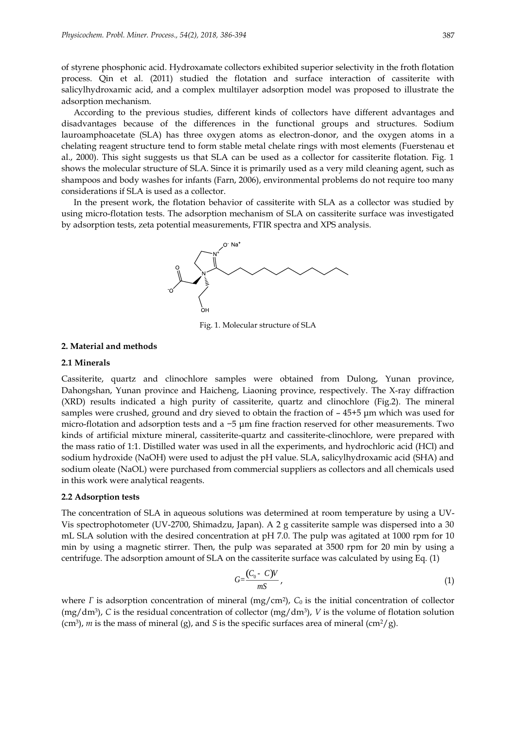of styrene phosphonic acid. Hydroxamate collectors exhibited superior selectivity in the froth flotation process. Qin et al. (2011) studied the flotation and surface interaction of cassiterite with salicylhydroxamic acid, and a complex multilayer adsorption model was proposed to illustrate the adsorption mechanism.

According to the previous studies, different kinds of collectors have different advantages and disadvantages because of the differences in the functional groups and structures. Sodium lauroamphoacetate (SLA) has three oxygen atoms as electron-donor, and the oxygen atoms in a chelating reagent structure tend to form stable metal chelate rings with most elements (Fuerstenau et al., 2000). This sight suggests us that SLA can be used as a collector for cassiterite flotation. Fig. 1 shows the molecular structure of SLA. Since it is primarily used as a very mild cleaning agent, such as shampoos and body washes for infants (Farn, 2006), environmental problems do not require too many considerations if SLA is used as a collector.

In the present work, the flotation behavior of cassiterite with SLA as a collector was studied by using micro-flotation tests. The adsorption mechanism of SLA on cassiterite surface was investigated by adsorption tests, zeta potential measurements, FTIR spectra and XPS analysis.



Fig. 1. Molecular structure of SLA

### **2. Material and methods**

#### **2.1 Minerals**

Cassiterite, quartz and clinochlore samples were obtained from Dulong, Yunan province, Dahongshan, Yunan province and Haicheng, Liaoning province, respectively. The X-ray diffraction (XRD) results indicated a high purity of cassiterite, quartz and clinochlore (Fig.2). The mineral samples were crushed, ground and dry sieved to obtain the fraction of – 45+5 μm which was used for micro-flotation and adsorption tests and a −5 μm fine fraction reserved for other measurements. Two kinds of artificial mixture mineral, cassiterite-quartz and cassiterite-clinochlore, were prepared with the mass ratio of 1:1. Distilled water was used in all the experiments, and hydrochloric acid (HCl) and sodium hydroxide (NaOH) were used to adjust the pH value. SLA, salicylhydroxamic acid (SHA) and sodium oleate (NaOL) were purchased from commercial suppliers as collectors and all chemicals used in this work were analytical reagents.

### **2.2 Adsorption tests**

The concentration of SLA in aqueous solutions was determined at room temperature by using a UV-Vis spectrophotometer (UV-2700, Shimadzu, Japan). A 2 g cassiterite sample was dispersed into a 30 mL SLA solution with the desired concentration at pH 7.0. The pulp was agitated at 1000 rpm for 10 min by using a magnetic stirrer. Then, the pulp was separated at 3500 rpm for 20 min by using a centrifuge. The adsorption amount of SLA on the cassiterite surface was calculated by using Eq. (1)

$$
G=\frac{(C_0-C)V}{mS},\tag{1}
$$

where *Γ* is adsorption concentration of mineral (mg/cm<sup>2</sup>), *C*<sub>0</sub> is the initial concentration of collector  $(mg/dm<sup>3</sup>)$ , *C* is the residual concentration of collector  $(mg/dm<sup>3</sup>)$ , *V* is the volume of flotation solution  $(\text{cm}^3)$ , *m* is the mass of mineral (g), and *S* is the specific surfaces area of mineral  $(\text{cm}^2/\text{g})$ .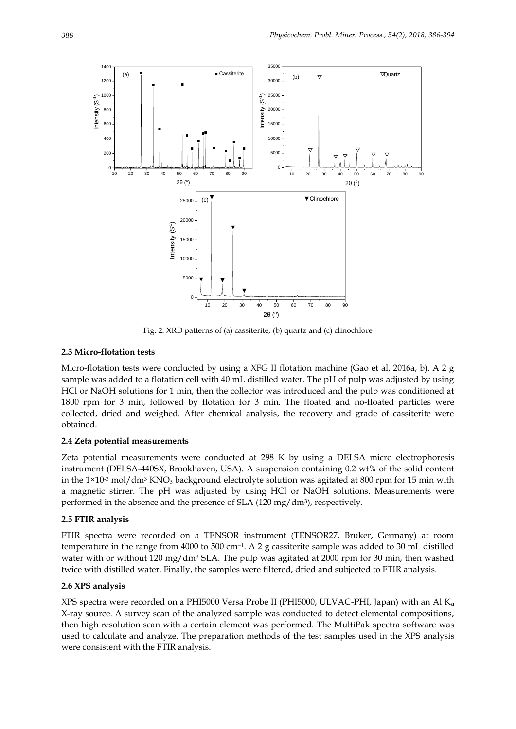

Fig. 2. XRD patterns of (a) cassiterite, (b) quartz and (c) clinochlore

## **2.3 Micro-flotation tests**

Micro-flotation tests were conducted by using a XFG II flotation machine (Gao et al, 2016a, b). A 2 g sample was added to a flotation cell with 40 mL distilled water. The pH of pulp was adjusted by using HCl or NaOH solutions for 1 min, then the collector was introduced and the pulp was conditioned at 1800 rpm for 3 min, followed by flotation for 3 min. The floated and no-floated particles were collected, dried and weighed. After chemical analysis, the recovery and grade of cassiterite were obtained.

#### **2.4 Zeta potential measurements**

Zeta potential measurements were conducted at 298 K by using a DELSA micro electrophoresis instrument (DELSA-440SX, Brookhaven, USA). A suspension containing 0.2 wt% of the solid content in the  $1\times10^{-3}$  mol/dm<sup>3</sup> KNO<sub>3</sub> background electrolyte solution was agitated at 800 rpm for 15 min with a magnetic stirrer. The pH was adjusted by using HCl or NaOH solutions. Measurements were performed in the absence and the presence of SLA (120 mg/dm<sup>3</sup> ), respectively.

### **2.5 FTIR analysis**

FTIR spectra were recorded on a TENSOR instrument (TENSOR27, Bruker, Germany) at room temperature in the range from 4000 to 500 cm−<sup>1</sup> . A 2 g cassiterite sample was added to 30 mL distilled water with or without 120 mg/dm<sup>3</sup> SLA. The pulp was agitated at 2000 rpm for 30 min, then washed twice with distilled water. Finally, the samples were filtered, dried and subjected to FTIR analysis.

## **2.6 XPS analysis**

XPS spectra were recorded on a PHI5000 Versa Probe II (PHI5000, ULVAC-PHI, Japan) with an Al  $K_{\alpha}$ X-ray source. A survey scan of the analyzed sample was conducted to detect elemental compositions, then high resolution scan with a certain element was performed. The MultiPak spectra software was used to calculate and analyze. The preparation methods of the test samples used in the XPS analysis were consistent with the FTIR analysis.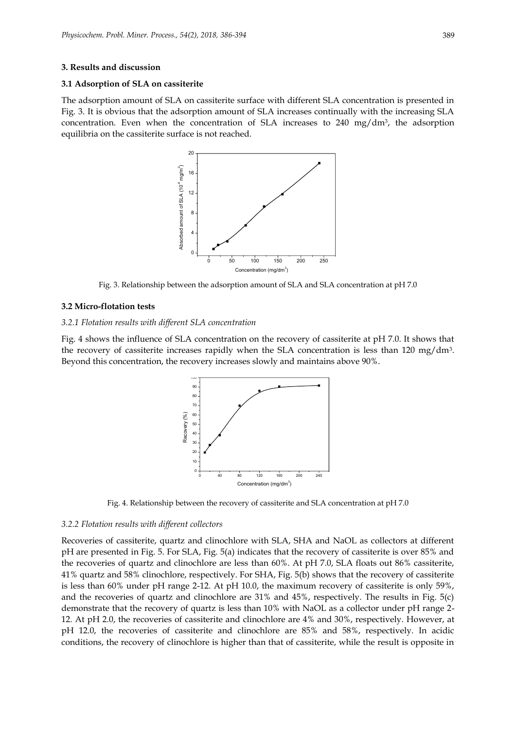#### **3. Results and discussion**

#### **3.1 Adsorption of SLA on cassiterite**

The adsorption amount of SLA on cassiterite surface with different SLA concentration is presented in Fig. 3. It is obvious that the adsorption amount of SLA increases continually with the increasing SLA concentration. Even when the concentration of SLA increases to 240 mg/dm<sup>3</sup> , the adsorption equilibria on the cassiterite surface is not reached.



Fig. 3. Relationship between the adsorption amount of SLA and SLA concentration at pH 7.0

## **3.2 Micro-flotation tests**

### *3.2.1 Flotation results with different SLA concentration*

Fig. 4 shows the influence of SLA concentration on the recovery of cassiterite at pH 7.0. It shows that the recovery of cassiterite increases rapidly when the SLA concentration is less than 120 mg/dm<sup>3</sup>. Beyond this concentration, the recovery increases slowly and maintains above 90%.



Fig. 4. Relationship between the recovery of cassiterite and SLA concentration at pH 7.0

#### *3.2.2 Flotation results with different collectors*

Recoveries of cassiterite, quartz and clinochlore with SLA, SHA and NaOL as collectors at different pH are presented in Fig. 5. For SLA, Fig. 5(a) indicates that the recovery of cassiterite is over 85% and the recoveries of quartz and clinochlore are less than 60%. At pH 7.0, SLA floats out 86% cassiterite, 41% quartz and 58% clinochlore, respectively. For SHA, Fig. 5(b) shows that the recovery of cassiterite is less than 60% under pH range 2-12. At pH 10.0, the maximum recovery of cassiterite is only 59%, and the recoveries of quartz and clinochlore are 31% and 45%, respectively. The results in Fig. 5(c) demonstrate that the recovery of quartz is less than 10% with NaOL as a collector under pH range 2- 12. At pH 2.0, the recoveries of cassiterite and clinochlore are 4% and 30%, respectively. However, at pH 12.0, the recoveries of cassiterite and clinochlore are 85% and 58%, respectively. In acidic conditions, the recovery of clinochlore is higher than that of cassiterite, while the result is opposite in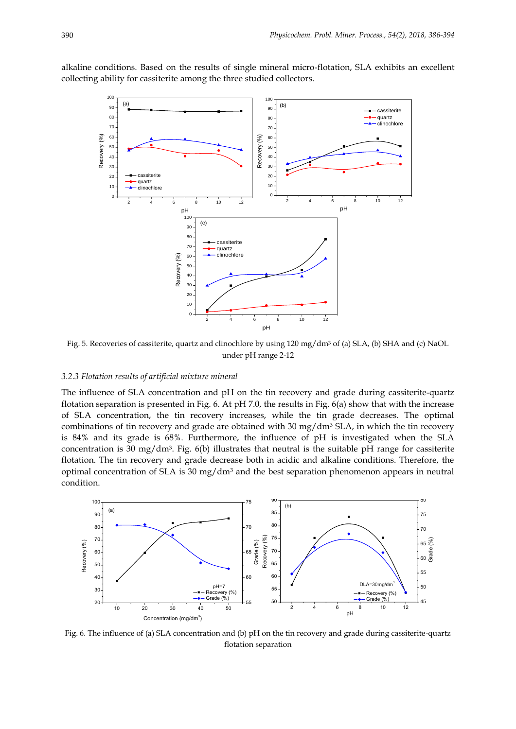alkaline conditions. Based on the results of single mineral micro-flotation, SLA exhibits an excellent collecting ability for cassiterite among the three studied collectors.



Fig. 5. Recoveries of cassiterite, quartz and clinochlore by using 120 mg/dm<sup>3</sup> of (a) SLA, (b) SHA and (c) NaOL under pH range 2-12

## *3.2.3 Flotation results of artificial mixture mineral*

The influence of SLA concentration and pH on the tin recovery and grade during cassiterite-quartz flotation separation is presented in Fig. 6. At pH 7.0, the results in Fig. 6(a) show that with the increase of SLA concentration, the tin recovery increases, while the tin grade decreases. The optimal combinations of tin recovery and grade are obtained with 30 mg/dm<sup>3</sup> SLA, in which the tin recovery is 84% and its grade is 68%. Furthermore, the influence of pH is investigated when the SLA concentration is 30 mg/dm<sup>3</sup> . Fig. 6(b) illustrates that neutral is the suitable pH range for cassiterite flotation. The tin recovery and grade decrease both in acidic and alkaline conditions. Therefore, the optimal concentration of SLA is  $30 \text{ mg/dm}^3$  and the best separation phenomenon appears in neutral condition.



Fig. 6. The influence of (a) SLA concentration and (b) pH on the tin recovery and grade during cassiterite-quartz flotation separation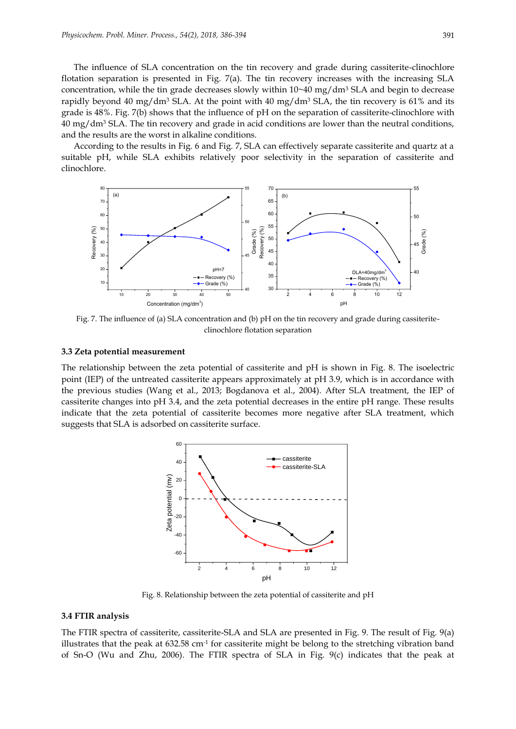The influence of SLA concentration on the tin recovery and grade during cassiterite-clinochlore flotation separation is presented in Fig. 7(a). The tin recovery increases with the increasing SLA concentration, while the tin grade decreases slowly within  $10~40~mg/dm^3$  SLA and begin to decrease rapidly beyond 40 mg/dm<sup>3</sup> SLA. At the point with 40 mg/dm<sup>3</sup> SLA, the tin recovery is 61% and its grade is 48%. Fig. 7(b) shows that the influence of pH on the separation of cassiterite-clinochlore with  $40 \text{ mg/dm}$ <sup>3</sup> SLA. The tin recovery and grade in acid conditions are lower than the neutral conditions, and the results are the worst in alkaline conditions.

According to the results in Fig. 6 and Fig. 7, SLA can effectively separate cassiterite and quartz at a suitable pH, while SLA exhibits relatively poor selectivity in the separation of cassiterite and clinochlore.



Fig. 7. The influence of (a) SLA concentration and (b) pH on the tin recovery and grade during cassiteriteclinochlore flotation separation

#### **3.3 Zeta potential measurement**

The relationship between the zeta potential of cassiterite and pH is shown in Fig. 8. The isoelectric point (IEP) of the untreated cassiterite appears approximately at pH 3.9, which is in accordance with the previous studies (Wang et al., 2013; Bogdanova et al., 2004). After SLA treatment, the IEP of cassiterite changes into pH 3.4, and the zeta potential decreases in the entire pH range. These results indicate that the zeta potential of cassiterite becomes more negative after SLA treatment, which suggests that SLA is adsorbed on cassiterite surface.



Fig. 8. Relationship between the zeta potential of cassiterite and pH

#### **3.4 FTIR analysis**

The FTIR spectra of cassiterite, cassiterite-SLA and SLA are presented in Fig. 9. The result of Fig. 9(a) illustrates that the peak at 632.58 cm<sup>-1</sup> for cassiterite might be belong to the stretching vibration band of Sn-O (Wu and Zhu, 2006). The FTIR spectra of SLA in Fig. 9(c) indicates that the peak at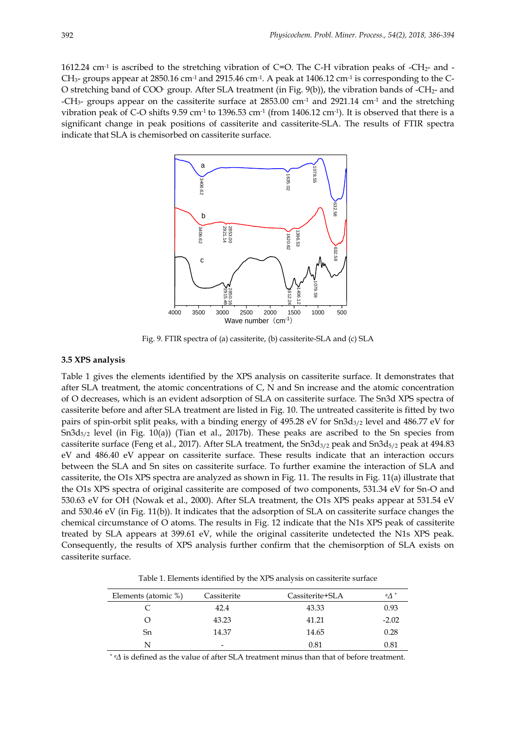1612.24 cm<sup>-1</sup> is ascribed to the stretching vibration of C=O. The C-H vibration peaks of -CH<sub>2</sub>- and - $\rm CH_{3^-}$  groups appear at 2850.16 cm<sup>-1</sup> and 2915.46 cm<sup>-1</sup>. A peak at 1406.12 cm<sup>-1</sup> is corresponding to the C-O stretching band of COO- group. After SLA treatment (in Fig. 9(b)), the vibration bands of -CH2- and -CH<sub>3</sub>- groups appear on the cassiterite surface at  $2853.00$  cm<sup>-1</sup> and  $2921.14$  cm<sup>-1</sup> and the stretching vibration peak of C-O shifts 9.59 cm<sup>-1</sup> to 1396.53 cm<sup>-1</sup> (from 1406.12 cm<sup>-1</sup>). It is observed that there is a significant change in peak positions of cassiterite and cassiterite-SLA. The results of FTIR spectra indicate that SLA is chemisorbed on cassiterite surface.



Fig. 9. FTIR spectra of (a) cassiterite, (b) cassiterite-SLA and (c) SLA

#### **3.5 XPS analysis**

Table 1 gives the elements identified by the XPS analysis on cassiterite surface. It demonstrates that after SLA treatment, the atomic concentrations of C, N and Sn increase and the atomic concentration of O decreases, which is an evident adsorption of SLA on cassiterite surface. The Sn3d XPS spectra of cassiterite before and after SLA treatment are listed in Fig. 10. The untreated cassiterite is fitted by two pairs of spin-orbit split peaks, with a binding energy of 495.28 eV for  $Sn3d_{3/2}$  level and 486.77 eV for Sn3d5/2 level (in Fig. 10(a)) (Tian et al., 2017b). These peaks are ascribed to the Sn species from cassiterite surface (Feng et al., 2017). After SLA treatment, the  $Sn3d_{3/2}$  peak and  $Sn3d_{5/2}$  peak at 494.83 eV and 486.40 eV appear on cassiterite surface. These results indicate that an interaction occurs between the SLA and Sn sites on cassiterite surface. To further examine the interaction of SLA and cassiterite, the O1s XPS spectra are analyzed as shown in Fig. 11. The results in Fig. 11(a) illustrate that the O1s XPS spectra of original cassiterite are composed of two components, 531.34 eV for Sn-O and 530.63 eV for OH (Nowak et al., 2000). After SLA treatment, the O1s XPS peaks appear at 531.54 eV and 530.46 eV (in Fig. 11(b)). It indicates that the adsorption of SLA on cassiterite surface changes the chemical circumstance of O atoms. The results in Fig. 12 indicate that the N1s XPS peak of cassiterite treated by SLA appears at 399.61 eV, while the original cassiterite undetected the N1s XPS peak. Consequently, the results of XPS analysis further confirm that the chemisorption of SLA exists on cassiterite surface.

Table 1. Elements identified by the XPS analysis on cassiterite surface

| Elements (atomic %) | Cassiterite | Cassiterite+SLA | $\mathbb{A}^*$ |
|---------------------|-------------|-----------------|----------------|
|                     | 42.4        | 43.33           | 0.93           |
| O                   | 43.23       | 41.21           | $-2.02$        |
| Sn                  | 14.37       | 14.65           | 0.28           |
| N                   | -           | 0.81            | 0.81           |

\* *<sup>a</sup>Δ* is defined as the value of after SLA treatment minus than that of before treatment.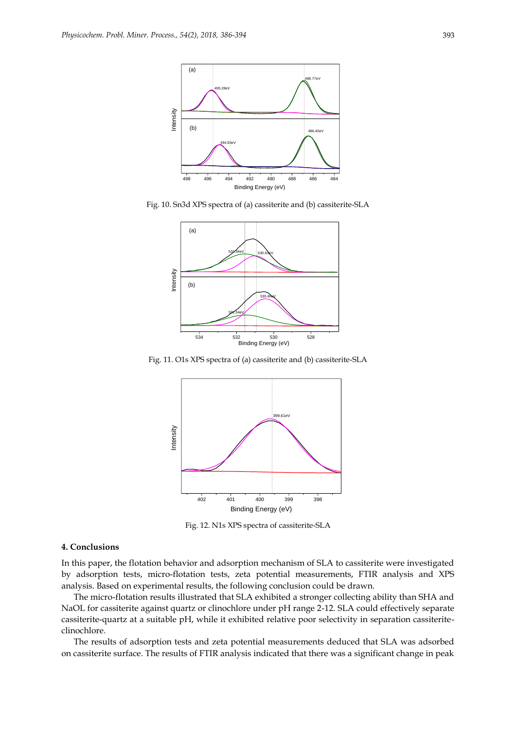

Fig. 10. Sn3d XPS spectra of (a) cassiterite and (b) cassiterite-SLA



Fig. 11. O1s XPS spectra of (a) cassiterite and (b) cassiterite-SLA



Fig. 12. N1s XPS spectra of cassiterite-SLA

## **4. Conclusions**

In this paper, the flotation behavior and adsorption mechanism of SLA to cassiterite were investigated by adsorption tests, micro-flotation tests, zeta potential measurements, FTIR analysis and XPS analysis. Based on experimental results, the following conclusion could be drawn.

The micro-flotation results illustrated that SLA exhibited a stronger collecting ability than SHA and NaOL for cassiterite against quartz or clinochlore under pH range 2-12. SLA could effectively separate cassiterite-quartz at a suitable pH, while it exhibited relative poor selectivity in separation cassiteriteclinochlore.

The results of adsorption tests and zeta potential measurements deduced that SLA was adsorbed on cassiterite surface. The results of FTIR analysis indicated that there was a significant change in peak